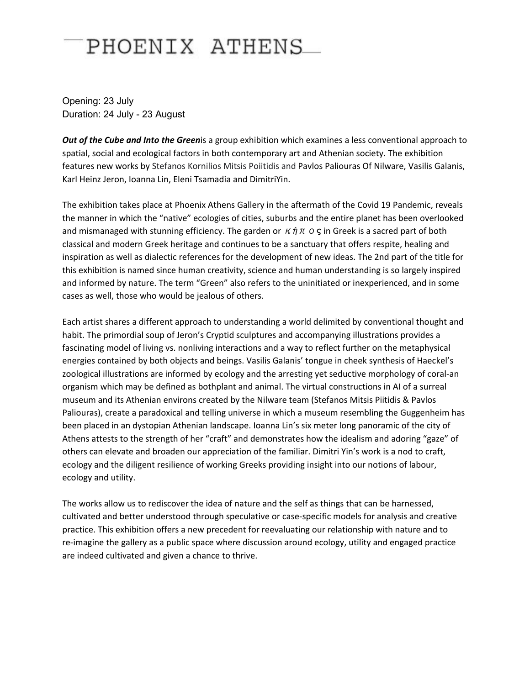## PHOENIX ATHENS

Opening: 23 July Duration: 24 July - 23 August

*Out of the Cube and Into the Green*is a group exhibition which examines a less conventional approach to spatial, social and ecological factors in both contemporary art and Athenian society. The exhibition features new works by Stefanos Kornilios Mitsis Poiitidis and Pavlos Paliouras Of Nilware, Vasilis Galanis, Karl Heinz Jeron, Ioanna Lin, Eleni Tsamadia and DimitriYin.

The exhibition takes place at Phoenix Athens Gallery in the aftermath of the Covid 19 Pandemic, reveals the manner in which the "native" ecologies of cities, suburbs and the entire planet has been overlooked and mismanaged with stunning efficiency. The garden or  $\kappa \eta \pi$  o  $\varsigma$  in Greek is a sacred part of both classical and modern Greek heritage and continues to be a sanctuary that offers respite, healing and inspiration as well as dialectic references for the development of new ideas. The 2nd part of the title for this exhibition is named since human creativity, science and human understanding is so largely inspired and informed by nature. The term "Green" also refers to the uninitiated or inexperienced, and in some cases as well, those who would be jealous of others.

Each artist shares a different approach to understanding a world delimited by conventional thought and habit. The primordial soup of Jeron's Cryptid sculptures and accompanying illustrations provides a fascinating model of living vs. nonliving interactions and a way to reflect further on the metaphysical energies contained by both objects and beings. Vasilis Galanis' tongue in cheek synthesis of Haeckel's zoological illustrations are informed by ecology and the arresting yet seductive morphology of coral-an organism which may be defined as bothplant and animal. The virtual constructions in AI of a surreal museum and its Athenian environs created by the Nilware team (Stefanos Mitsis Piitidis & Pavlos Paliouras), create a paradoxical and telling universe in which a museum resembling the Guggenheim has been placed in an dystopian Athenian landscape. Ioanna Lin's six meter long panoramic of the city of Athens attests to the strength of her "craft" and demonstrates how the idealism and adoring "gaze" of others can elevate and broaden our appreciation of the familiar. Dimitri Yin's work is a nod to craft, ecology and the diligent resilience of working Greeks providing insight into our notions of labour, ecology and utility.

The works allow us to rediscover the idea of nature and the self as things that can be harnessed, cultivated and better understood through speculative or case-specific models for analysis and creative practice. This exhibition offers a new precedent for reevaluating our relationship with nature and to re-imagine the gallery as a public space where discussion around ecology, utility and engaged practice are indeed cultivated and given a chance to thrive.